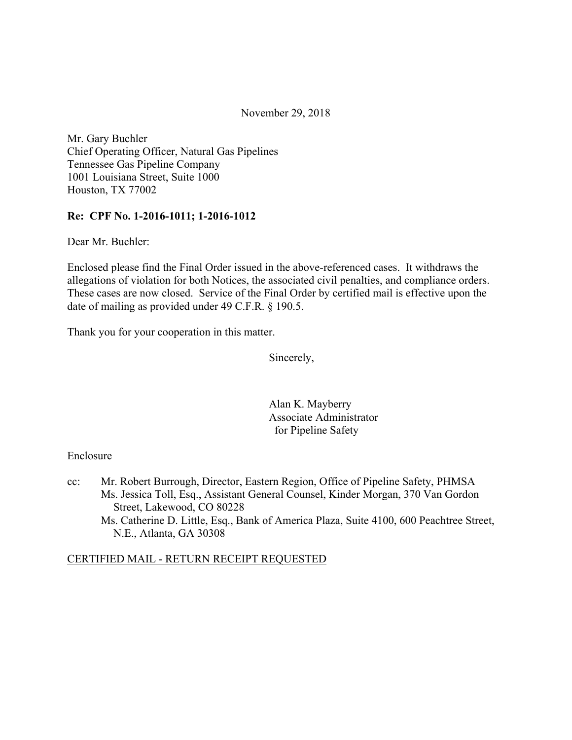November 29, 2018

Mr. Gary Buchler Chief Operating Officer, Natural Gas Pipelines Tennessee Gas Pipeline Company 1001 Louisiana Street, Suite 1000 Houston, TX 77002

### **Re: CPF No. 1-2016-1011; 1-2016-1012**

Dear Mr. Buchler:

Enclosed please find the Final Order issued in the above-referenced cases. It withdraws the allegations of violation for both Notices, the associated civil penalties, and compliance orders. These cases are now closed. Service of the Final Order by certified mail is effective upon the date of mailing as provided under 49 C.F.R. § 190.5.

Thank you for your cooperation in this matter.

Sincerely,

Alan K. Mayberry Associate Administrator for Pipeline Safety

#### Enclosure

cc: Mr. Robert Burrough, Director, Eastern Region, Office of Pipeline Safety, PHMSA Ms. Jessica Toll, Esq., Assistant General Counsel, Kinder Morgan, 370 Van Gordon Street, Lakewood, CO 80228 Ms. Catherine D. Little, Esq., Bank of America Plaza, Suite 4100, 600 Peachtree Street, N.E., Atlanta, GA 30308

### CERTIFIED MAIL - RETURN RECEIPT REQUESTED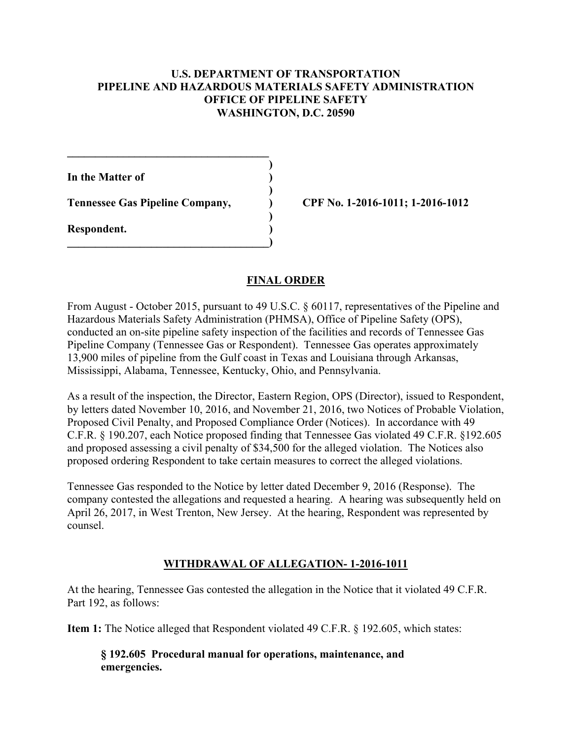### **U.S. DEPARTMENT OF TRANSPORTATION PIPELINE AND HAZARDOUS MATERIALS SAFETY ADMINISTRATION OFFICE OF PIPELINE SAFETY WASHINGTON, D.C. 20590**

**)**

 **)**

 **)**

**In the Matter of )**

**Tennessee Gas Pipeline Company, ) CPF No. 1-2016-1011; 1-2016-1012**

 $\mathcal{L}=\{1,2,3,4,5\}$ 

**\_\_\_\_\_\_\_\_\_\_\_\_\_\_\_\_\_\_\_\_\_\_\_\_\_\_\_\_\_\_\_\_\_\_\_\_)** 

**Respondent. )** 

# **FINAL ORDER**

From August - October 2015, pursuant to 49 U.S.C. § 60117, representatives of the Pipeline and Hazardous Materials Safety Administration (PHMSA), Office of Pipeline Safety (OPS), conducted an on-site pipeline safety inspection of the facilities and records of Tennessee Gas Pipeline Company (Tennessee Gas or Respondent). Tennessee Gas operates approximately 13,900 miles of pipeline from the Gulf coast in Texas and Louisiana through Arkansas, Mississippi, Alabama, Tennessee, Kentucky, Ohio, and Pennsylvania.

As a result of the inspection, the Director, Eastern Region, OPS (Director), issued to Respondent, by letters dated November 10, 2016, and November 21, 2016, two Notices of Probable Violation, Proposed Civil Penalty, and Proposed Compliance Order (Notices). In accordance with 49 C.F.R. § 190.207, each Notice proposed finding that Tennessee Gas violated 49 C.F.R. §192.605 and proposed assessing a civil penalty of \$34,500 for the alleged violation. The Notices also proposed ordering Respondent to take certain measures to correct the alleged violations.

Tennessee Gas responded to the Notice by letter dated December 9, 2016 (Response). The company contested the allegations and requested a hearing. A hearing was subsequently held on April 26, 2017, in West Trenton, New Jersey. At the hearing, Respondent was represented by counsel.

## **WITHDRAWAL OF ALLEGATION- 1-2016-1011**

At the hearing, Tennessee Gas contested the allegation in the Notice that it violated 49 C.F.R. Part 192, as follows:

**Item 1:** The Notice alleged that Respondent violated 49 C.F.R. § 192.605, which states:

**§ 192.605 Procedural manual for operations, maintenance, and emergencies.**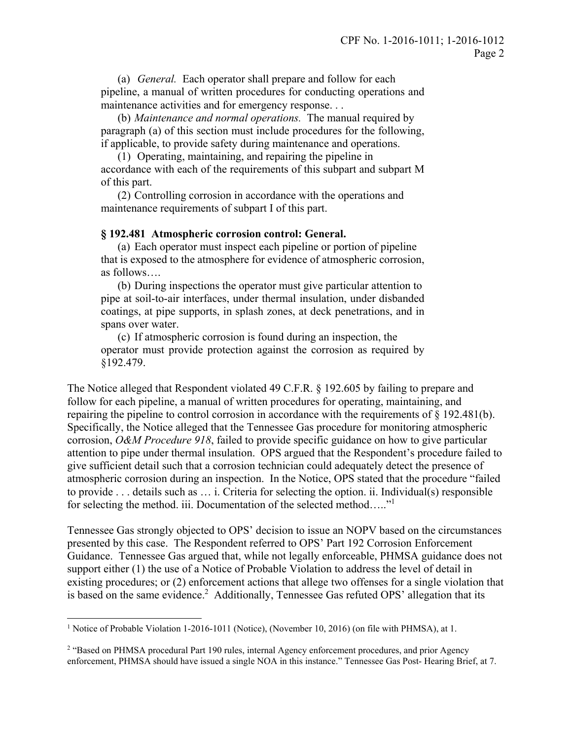(a) *General.* Each operator shall prepare and follow for each pipeline, a manual of written procedures for conducting operations and maintenance activities and for emergency response. . .

(b) *Maintenance and normal operations.* The manual required by paragraph (a) of this section must include procedures for the following, if applicable, to provide safety during maintenance and operations.

(1) Operating, maintaining, and repairing the pipeline in accordance with each of the requirements of this subpart and subpart M of this part.

(2) Controlling corrosion in accordance with the operations and maintenance requirements of subpart I of this part.

#### **§ 192.481 Atmospheric corrosion control: General.**

(a) Each operator must inspect each pipeline or portion of pipeline that is exposed to the atmosphere for evidence of atmospheric corrosion, as follows….

(b) During inspections the operator must give particular attention to pipe at soil-to-air interfaces, under thermal insulation, under disbanded coatings, at pipe supports, in splash zones, at deck penetrations, and in spans over water.

(c) If atmospheric corrosion is found during an inspection, the operator must provide protection against the corrosion as required by §192.479.

The Notice alleged that Respondent violated 49 C.F.R. § 192.605 by failing to prepare and follow for each pipeline, a manual of written procedures for operating, maintaining, and repairing the pipeline to control corrosion in accordance with the requirements of § 192.481(b). Specifically, the Notice alleged that the Tennessee Gas procedure for monitoring atmospheric corrosion, *O&M Procedure 918*, failed to provide specific guidance on how to give particular attention to pipe under thermal insulation. OPS argued that the Respondent's procedure failed to give sufficient detail such that a corrosion technician could adequately detect the presence of atmospheric corrosion during an inspection. In the Notice, OPS stated that the procedure "failed to provide . . . details such as … i. Criteria for selecting the option. ii. Individual(s) responsible for selecting the method. iii. Documentation of the selected method....."<sup>1</sup>

Tennessee Gas strongly objected to OPS' decision to issue an NOPV based on the circumstances presented by this case. The Respondent referred to OPS' Part 192 Corrosion Enforcement Guidance. Tennessee Gas argued that, while not legally enforceable, PHMSA guidance does not support either (1) the use of a Notice of Probable Violation to address the level of detail in existing procedures; or (2) enforcement actions that allege two offenses for a single violation that is based on the same evidence.<sup>2</sup> Additionally, Tennessee Gas refuted OPS' allegation that its

<u>.</u>

<sup>&</sup>lt;sup>1</sup> Notice of Probable Violation 1-2016-1011 (Notice), (November 10, 2016) (on file with PHMSA), at 1.

<sup>&</sup>lt;sup>2</sup> "Based on PHMSA procedural Part 190 rules, internal Agency enforcement procedures, and prior Agency enforcement, PHMSA should have issued a single NOA in this instance." Tennessee Gas Post- Hearing Brief, at 7.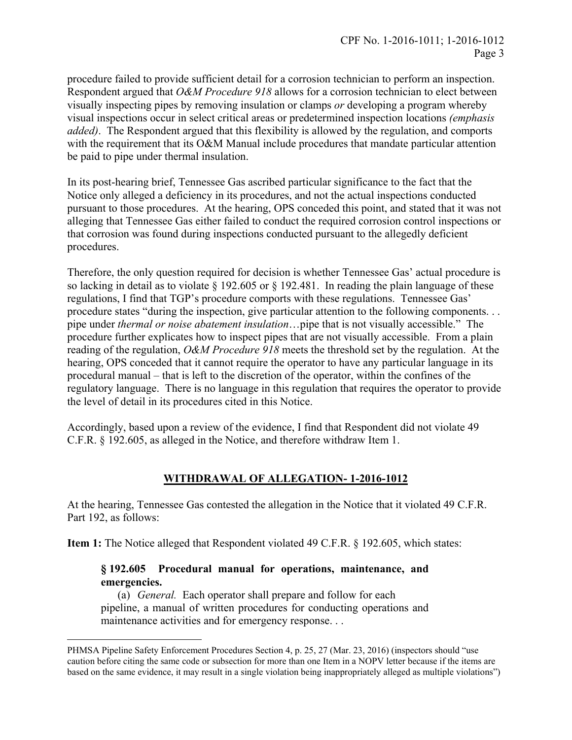procedure failed to provide sufficient detail for a corrosion technician to perform an inspection. Respondent argued that *O&M Procedure 918* allows for a corrosion technician to elect between visually inspecting pipes by removing insulation or clamps *or* developing a program whereby visual inspections occur in select critical areas or predetermined inspection locations *(emphasis added)*. The Respondent argued that this flexibility is allowed by the regulation, and comports with the requirement that its O&M Manual include procedures that mandate particular attention be paid to pipe under thermal insulation.

In its post-hearing brief, Tennessee Gas ascribed particular significance to the fact that the Notice only alleged a deficiency in its procedures, and not the actual inspections conducted pursuant to those procedures. At the hearing, OPS conceded this point, and stated that it was not alleging that Tennessee Gas either failed to conduct the required corrosion control inspections or that corrosion was found during inspections conducted pursuant to the allegedly deficient procedures.

Therefore, the only question required for decision is whether Tennessee Gas' actual procedure is so lacking in detail as to violate § 192.605 or § 192.481. In reading the plain language of these regulations, I find that TGP's procedure comports with these regulations. Tennessee Gas' procedure states "during the inspection, give particular attention to the following components. . . pipe under *thermal or noise abatement insulation*…pipe that is not visually accessible." The procedure further explicates how to inspect pipes that are not visually accessible. From a plain reading of the regulation, *O&M Procedure 918* meets the threshold set by the regulation. At the hearing, OPS conceded that it cannot require the operator to have any particular language in its procedural manual – that is left to the discretion of the operator, within the confines of the regulatory language. There is no language in this regulation that requires the operator to provide the level of detail in its procedures cited in this Notice.

Accordingly, based upon a review of the evidence, I find that Respondent did not violate 49 C.F.R. § 192.605, as alleged in the Notice, and therefore withdraw Item 1.

## **WITHDRAWAL OF ALLEGATION- 1-2016-1012**

At the hearing, Tennessee Gas contested the allegation in the Notice that it violated 49 C.F.R. Part 192, as follows:

**Item 1:** The Notice alleged that Respondent violated 49 C.F.R. § 192.605, which states:

## **§ 192.605 Procedural manual for operations, maintenance, and emergencies.**

(a) *General.* Each operator shall prepare and follow for each pipeline, a manual of written procedures for conducting operations and maintenance activities and for emergency response. . .

 $\overline{a}$ 

 caution before citing the same code or subsection for more than one Item in a NOPV letter because if the items are based on the same evidence, it may result in a single violation being inappropriately alleged as multiple violations") PHMSA Pipeline Safety Enforcement Procedures Section 4, p. 25, 27 (Mar. 23, 2016) (inspectors should "use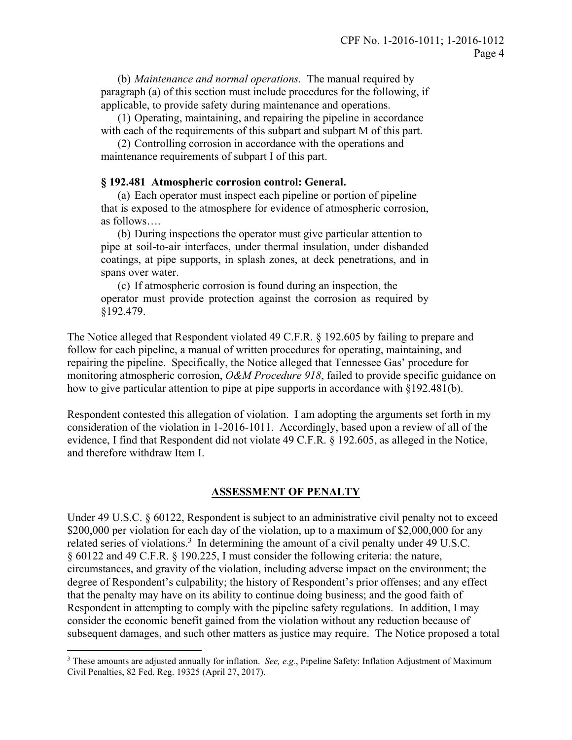(b) *Maintenance and normal operations.* The manual required by paragraph (a) of this section must include procedures for the following, if applicable, to provide safety during maintenance and operations.

(1) Operating, maintaining, and repairing the pipeline in accordance with each of the requirements of this subpart and subpart M of this part.

(2) Controlling corrosion in accordance with the operations and maintenance requirements of subpart I of this part.

#### **§ 192.481 Atmospheric corrosion control: General.**

 (a) Each operator must inspect each pipeline or portion of pipeline that is exposed to the atmosphere for evidence of atmospheric corrosion, as follows….

(b) During inspections the operator must give particular attention to pipe at soil-to-air interfaces, under thermal insulation, under disbanded coatings, at pipe supports, in splash zones, at deck penetrations, and in spans over water.

(c) If atmospheric corrosion is found during an inspection, the operator must provide protection against the corrosion as required by §192.479.

The Notice alleged that Respondent violated 49 C.F.R. § 192.605 by failing to prepare and follow for each pipeline, a manual of written procedures for operating, maintaining, and repairing the pipeline. Specifically, the Notice alleged that Tennessee Gas' procedure for monitoring atmospheric corrosion, *O&M Procedure 918*, failed to provide specific guidance on how to give particular attention to pipe at pipe supports in accordance with §192.481(b).

Respondent contested this allegation of violation. I am adopting the arguments set forth in my consideration of the violation in 1-2016-1011. Accordingly, based upon a review of all of the evidence, I find that Respondent did not violate 49 C.F.R. § 192.605, as alleged in the Notice, and therefore withdraw Item I.

#### **ASSESSMENT OF PENALTY**

Under 49 U.S.C. § 60122, Respondent is subject to an administrative civil penalty not to exceed \$200,000 per violation for each day of the violation, up to a maximum of \$2,000,000 for any related series of violations.<sup>3</sup> In determining the amount of a civil penalty under 49 U.S.C. § 60122 and 49 C.F.R. § 190.225, I must consider the following criteria: the nature, circumstances, and gravity of the violation, including adverse impact on the environment; the degree of Respondent's culpability; the history of Respondent's prior offenses; and any effect that the penalty may have on its ability to continue doing business; and the good faith of Respondent in attempting to comply with the pipeline safety regulations. In addition, I may consider the economic benefit gained from the violation without any reduction because of subsequent damages, and such other matters as justice may require. The Notice proposed a total

<u>.</u>

<sup>3</sup> These amounts are adjusted annually for inflation. *See, e.g.*, Pipeline Safety: Inflation Adjustment of Maximum Civil Penalties, 82 Fed. Reg. 19325 (April 27, 2017).